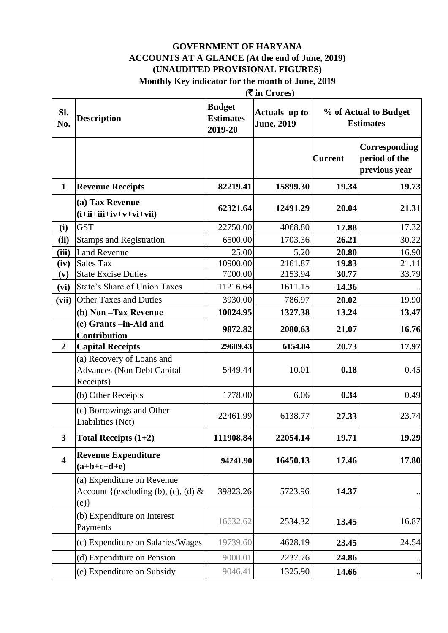#### $(F \in \text{C}_{\text{trape}})$ **GOVERNMENT OF HARYANA ACCOUNTS AT A GLANCE (At the end of June, 2019) (UNAUDITED PROVISIONAL FIGURES) Monthly Key indicator for the month of June, 2019**

|                         | (v in Crores)                                                               |                                              |                                    |                |                                                 |  |
|-------------------------|-----------------------------------------------------------------------------|----------------------------------------------|------------------------------------|----------------|-------------------------------------------------|--|
| SI.<br>No.              | <b>Description</b>                                                          | <b>Budget</b><br><b>Estimates</b><br>2019-20 | Actuals up to<br><b>June, 2019</b> |                | % of Actual to Budget<br><b>Estimates</b>       |  |
|                         |                                                                             |                                              |                                    | <b>Current</b> | Corresponding<br>period of the<br>previous year |  |
| $\mathbf{1}$            | <b>Revenue Receipts</b>                                                     | 82219.41                                     | 15899.30                           | 19.34          | 19.73                                           |  |
|                         | (a) Tax Revenue<br>$(i+ii+iii+iv+v+vi+vii)$                                 | 62321.64                                     | 12491.29                           | 20.04          | 21.31                                           |  |
| (i)                     | <b>GST</b>                                                                  | 22750.00                                     | 4068.80                            | 17.88          | 17.32                                           |  |
| (ii)                    | <b>Stamps and Registration</b>                                              | 6500.00                                      | 1703.36                            | 26.21          | 30.22                                           |  |
| (iii)                   | <b>Land Revenue</b>                                                         | 25.00                                        | 5.20                               | 20.80          | 16.90                                           |  |
| (iv)                    | <b>Sales Tax</b>                                                            | 10900.00                                     | 2161.87                            | 19.83          | 21.11                                           |  |
| (v)                     | <b>State Excise Duties</b>                                                  | 7000.00                                      | 2153.94                            | 30.77          | 33.79                                           |  |
| (vi)                    | State's Share of Union Taxes                                                | 11216.64                                     | 1611.15                            | 14.36          |                                                 |  |
| (vii)                   | <b>Other Taxes and Duties</b>                                               | 3930.00                                      | 786.97                             | 20.02          | 19.90                                           |  |
|                         | (b) Non-Tax Revenue                                                         | 10024.95                                     | 1327.38                            | 13.24          | 13.47                                           |  |
|                         | (c) Grants -in-Aid and<br>Contribution                                      | 9872.82                                      | 2080.63                            | 21.07          | 16.76                                           |  |
| $\overline{2}$          | <b>Capital Receipts</b>                                                     | 29689.43                                     | 6154.84                            | 20.73          | 17.97                                           |  |
|                         | (a) Recovery of Loans and<br><b>Advances (Non Debt Capital</b><br>Receipts) | 5449.44                                      | 10.01                              | 0.18           | 0.45                                            |  |
|                         | (b) Other Receipts                                                          | 1778.00                                      | 6.06                               | 0.34           | 0.49                                            |  |
|                         | (c) Borrowings and Other<br>Liabilities (Net)                               | 22461.99                                     | 6138.77                            | 27.33          | 23.74                                           |  |
| $\overline{\mathbf{3}}$ | Total Receipts $(1+2)$                                                      | 111908.84                                    | 22054.14                           | 19.71          | 19.29                                           |  |
| $\overline{\mathbf{4}}$ | <b>Revenue Expenditure</b><br>$(a+b+c+d+e)$                                 | 94241.90                                     | 16450.13                           | 17.46          | 17.80                                           |  |
|                         | (a) Expenditure on Revenue<br>Account {(excluding (b), (c), (d) $\&$<br>(e) | 39823.26                                     | 5723.96                            | 14.37          |                                                 |  |
|                         | (b) Expenditure on Interest<br>Payments                                     | 16632.62                                     | 2534.32                            | 13.45          | 16.87                                           |  |
|                         | (c) Expenditure on Salaries/Wages                                           | 19739.60                                     | 4628.19                            | 23.45          | 24.54                                           |  |
|                         | (d) Expenditure on Pension                                                  | 9000.01                                      | 2237.76                            | 24.86          |                                                 |  |
|                         | (e) Expenditure on Subsidy                                                  | 9046.41                                      | 1325.90                            | 14.66          |                                                 |  |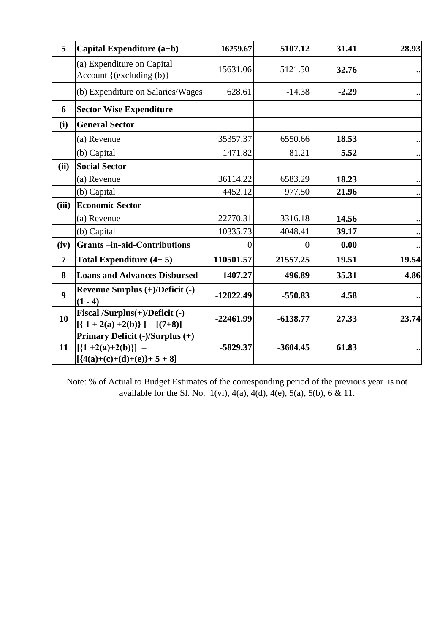| 5                | Capital Expenditure (a+b)                                                                | 16259.67    | 5107.12       | 31.41   | 28.93 |
|------------------|------------------------------------------------------------------------------------------|-------------|---------------|---------|-------|
|                  | (a) Expenditure on Capital<br>Account { $(excluding (b)$ }                               | 15631.06    | 5121.50       | 32.76   |       |
|                  | (b) Expenditure on Salaries/Wages                                                        | 628.61      | $-14.38$      | $-2.29$ |       |
| 6                | <b>Sector Wise Expenditure</b>                                                           |             |               |         |       |
| (i)              | <b>General Sector</b>                                                                    |             |               |         |       |
|                  | (a) Revenue                                                                              | 35357.37    | 6550.66       | 18.53   |       |
|                  | (b) Capital                                                                              | 1471.82     | 81.21         | 5.52    |       |
| (ii)             | <b>Social Sector</b>                                                                     |             |               |         |       |
|                  | (a) Revenue                                                                              | 36114.22    | 6583.29       | 18.23   |       |
|                  | (b) Capital                                                                              | 4452.12     | 977.50        | 21.96   |       |
| (iii)            | <b>Economic Sector</b>                                                                   |             |               |         |       |
|                  | (a) Revenue                                                                              | 22770.31    | 3316.18       | 14.56   |       |
|                  | (b) Capital                                                                              | 10335.73    | 4048.41       | 39.17   |       |
| (iv)             | <b>Grants-in-aid-Contributions</b>                                                       |             | $\mathcal{O}$ | 0.00    |       |
| $\overline{7}$   | Total Expenditure $(4+5)$                                                                | 110501.57   | 21557.25      | 19.51   | 19.54 |
| 8                | <b>Loans and Advances Disbursed</b>                                                      | 1407.27     | 496.89        | 35.31   | 4.86  |
| $\boldsymbol{9}$ | Revenue Surplus (+)/Deficit (-)<br>$(1 - 4)$                                             | $-12022.49$ | $-550.83$     | 4.58    |       |
| 10               | Fiscal /Surplus(+)/Deficit (-)<br>$[(1+2(a)+2(b))] - [(7+8)]$                            | $-22461.99$ | $-6138.77$    | 27.33   | 23.74 |
| 11               | Primary Deficit (-)/Surplus (+)<br>$[\{1+2(a)+2(b)\}]$ –<br>$[ {4(a)+(c)+(d)+(e)}+5+8 ]$ | $-5829.37$  | $-3604.45$    | 61.83   |       |

Note: % of Actual to Budget Estimates of the corresponding period of the previous year is not available for the Sl. No.  $1(vi)$ ,  $4(a)$ ,  $4(d)$ ,  $4(e)$ ,  $5(a)$ ,  $5(b)$ ,  $6 & 11$ .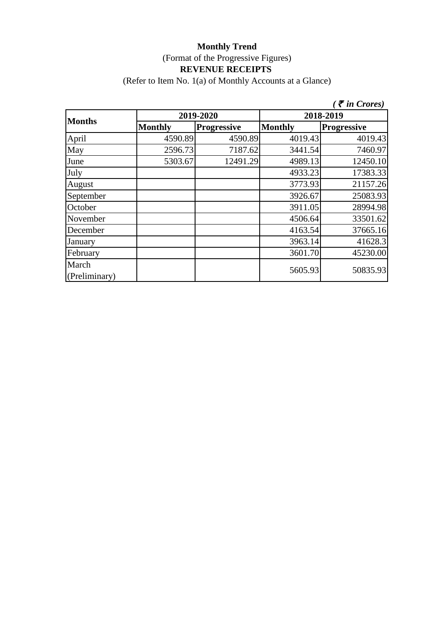(Refer to Item No. 1(a) of Monthly Accounts at a Glance)

|                        |                |                    |                | $\zeta$ $\bar{\zeta}$ in Crores) |  |
|------------------------|----------------|--------------------|----------------|----------------------------------|--|
| <b>Months</b>          |                | 2019-2020          | 2018-2019      |                                  |  |
|                        | <b>Monthly</b> | <b>Progressive</b> | <b>Monthly</b> | <b>Progressive</b>               |  |
| April                  | 4590.89        | 4590.89            | 4019.43        | 4019.43                          |  |
| May                    | 2596.73        | 7187.62            | 3441.54        | 7460.97                          |  |
| June                   | 5303.67        | 12491.29           | 4989.13        | 12450.10                         |  |
| July                   |                |                    | 4933.23        | 17383.33                         |  |
| August                 |                |                    | 3773.93        | 21157.26                         |  |
| September              |                |                    | 3926.67        | 25083.93                         |  |
| October                |                |                    | 3911.05        | 28994.98                         |  |
| November               |                |                    | 4506.64        | 33501.62                         |  |
| December               |                |                    | 4163.54        | 37665.16                         |  |
| January                |                |                    | 3963.14        | 41628.3                          |  |
| February               |                |                    | 3601.70        | 45230.00                         |  |
| March<br>(Preliminary) |                |                    | 5605.93        | 50835.93                         |  |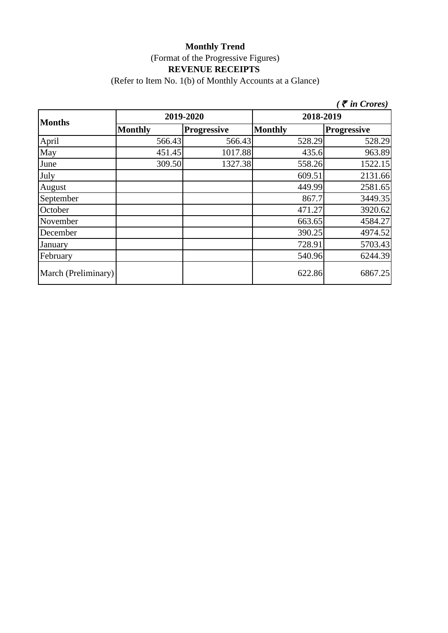(Refer to Item No. 1(b) of Monthly Accounts at a Glance)

|                     |                |                    |                | $\zeta$ $\bar{\zeta}$ in Crores) |
|---------------------|----------------|--------------------|----------------|----------------------------------|
| <b>Months</b>       |                | 2019-2020          | 2018-2019      |                                  |
|                     | <b>Monthly</b> | <b>Progressive</b> | <b>Monthly</b> | <b>Progressive</b>               |
| April               | 566.43         | 566.43             | 528.29         | 528.29                           |
| May                 | 451.45         | 1017.88            | 435.6          | 963.89                           |
| June                | 309.50         | 1327.38            | 558.26         | 1522.15                          |
| July                |                |                    | 609.51         | 2131.66                          |
| August              |                |                    | 449.99         | 2581.65                          |
| September           |                |                    | 867.7          | 3449.35                          |
| October             |                |                    | 471.27         | 3920.62                          |
| November            |                |                    | 663.65         | 4584.27                          |
| December            |                |                    | 390.25         | 4974.52                          |
| January             |                |                    | 728.91         | 5703.43                          |
| February            |                |                    | 540.96         | 6244.39                          |
| March (Preliminary) |                |                    | 622.86         | 6867.25                          |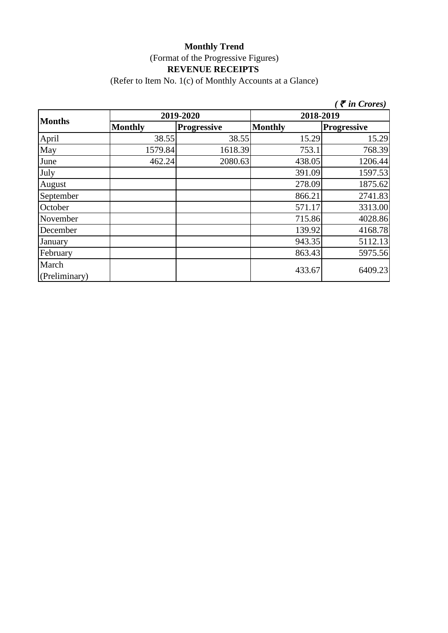(Refer to Item No. 1(c) of Monthly Accounts at a Glance)

|                        |                |                    |                | $\zeta$ $\bar{\zeta}$ in Crores) |  |
|------------------------|----------------|--------------------|----------------|----------------------------------|--|
| <b>Months</b>          |                | 2019-2020          | 2018-2019      |                                  |  |
|                        | <b>Monthly</b> | <b>Progressive</b> | <b>Monthly</b> | <b>Progressive</b>               |  |
| April                  | 38.55          | 38.55              | 15.29          | 15.29                            |  |
| May                    | 1579.84        | 1618.39            | 753.1          | 768.39                           |  |
| June                   | 462.24         | 2080.63            | 438.05         | 1206.44                          |  |
| July                   |                |                    | 391.09         | 1597.53                          |  |
| August                 |                |                    | 278.09         | 1875.62                          |  |
| September              |                |                    | 866.21         | 2741.83                          |  |
| October                |                |                    | 571.17         | 3313.00                          |  |
| November               |                |                    | 715.86         | 4028.86                          |  |
| December               |                |                    | 139.92         | 4168.78                          |  |
| January                |                |                    | 943.35         | 5112.13                          |  |
| February               |                |                    | 863.43         | 5975.56                          |  |
| March<br>(Preliminary) |                |                    | 433.67         | 6409.23                          |  |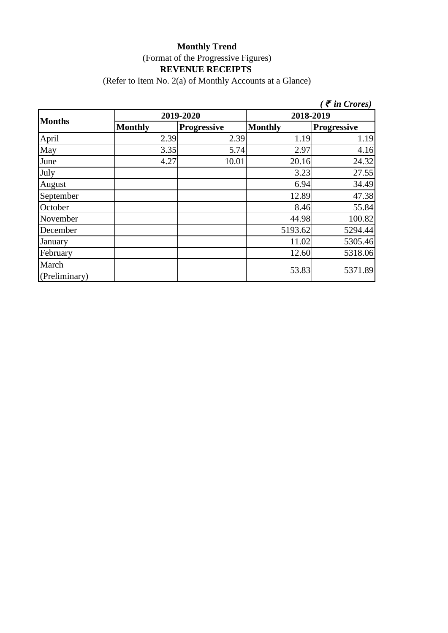(Refer to Item No. 2(a) of Monthly Accounts at a Glance)

|                        |                |                    |                | $\zeta$ $\bar{\zeta}$ in Crores) |  |
|------------------------|----------------|--------------------|----------------|----------------------------------|--|
|                        |                | 2019-2020          | 2018-2019      |                                  |  |
| <b>Months</b>          | <b>Monthly</b> | <b>Progressive</b> | <b>Monthly</b> | <b>Progressive</b>               |  |
| April                  | 2.39           | 2.39               | 1.19           | 1.19                             |  |
| May                    | 3.35           | 5.74               | 2.97           | 4.16                             |  |
| June                   | 4.27           | 10.01              | 20.16          | 24.32                            |  |
| July                   |                |                    | 3.23           | 27.55                            |  |
| August                 |                |                    | 6.94           | 34.49                            |  |
| September              |                |                    | 12.89          | 47.38                            |  |
| October                |                |                    | 8.46           | 55.84                            |  |
| November               |                |                    | 44.98          | 100.82                           |  |
| December               |                |                    | 5193.62        | 5294.44                          |  |
| January                |                |                    | 11.02          | 5305.46                          |  |
| February               |                |                    | 12.60          | 5318.06                          |  |
| March<br>(Preliminary) |                |                    | 53.83          | 5371.89                          |  |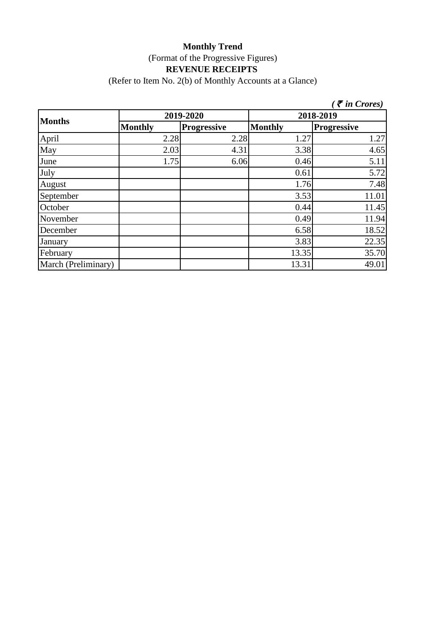#### **Monthly Trend** (Format of the Progressive Figures) **REVENUE RECEIPTS**  (Refer to Item No. 2(b) of Monthly Accounts at a Glance)

*(* ` *in Crores)*

| <b>Months</b>       |                | 2019-2020          | 2018-2019      |                    |
|---------------------|----------------|--------------------|----------------|--------------------|
|                     | <b>Monthly</b> | <b>Progressive</b> | <b>Monthly</b> | <b>Progressive</b> |
| April               | 2.28           | 2.28               | 1.27           | 1.27               |
| May                 | 2.03           | 4.31               | 3.38           | 4.65               |
| June                | 1.75           | 6.06               | 0.46           | 5.11               |
| July                |                |                    | 0.61           | 5.72               |
| August              |                |                    | 1.76           | 7.48               |
| September           |                |                    | 3.53           | 11.01              |
| October             |                |                    | 0.44           | 11.45              |
| November            |                |                    | 0.49           | 11.94              |
| December            |                |                    | 6.58           | 18.52              |
| January             |                |                    | 3.83           | 22.35              |
| February            |                |                    | 13.35          | 35.70              |
| March (Preliminary) |                |                    | 13.31          | 49.01              |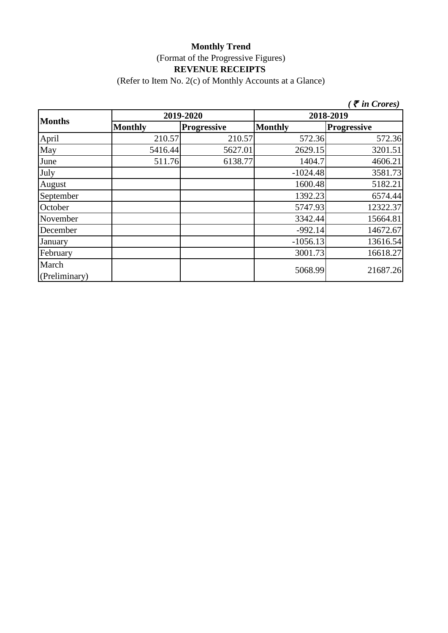(Refer to Item No. 2(c) of Monthly Accounts at a Glance)

|                        |                |                    |                | $\tilde{\tau}$ in Crores) |  |
|------------------------|----------------|--------------------|----------------|---------------------------|--|
| <b>Months</b>          |                | 2019-2020          | 2018-2019      |                           |  |
|                        | <b>Monthly</b> | <b>Progressive</b> | <b>Monthly</b> | <b>Progressive</b>        |  |
| April                  | 210.57         | 210.57             | 572.36         | 572.36                    |  |
| May                    | 5416.44        | 5627.01            | 2629.15        | 3201.51                   |  |
| June                   | 511.76         | 6138.77            | 1404.7         | 4606.21                   |  |
| July                   |                |                    | $-1024.48$     | 3581.73                   |  |
| August                 |                |                    | 1600.48        | 5182.21                   |  |
| September              |                |                    | 1392.23        | 6574.44                   |  |
| October                |                |                    | 5747.93        | 12322.37                  |  |
| November               |                |                    | 3342.44        | 15664.81                  |  |
| December               |                |                    | $-992.14$      | 14672.67                  |  |
| January                |                |                    | $-1056.13$     | 13616.54                  |  |
| February               |                |                    | 3001.73        | 16618.27                  |  |
| March<br>(Preliminary) |                |                    | 5068.99        | 21687.26                  |  |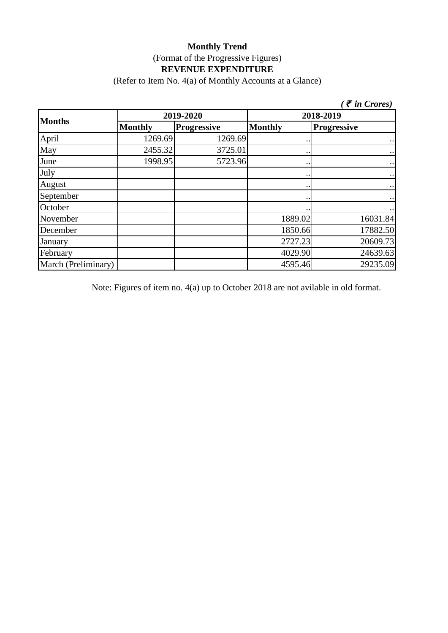(Refer to Item No. 4(a) of Monthly Accounts at a Glance)

|                     |                |                    |                      | $\zeta$ $\bar{\zeta}$ in Crores) |  |  |
|---------------------|----------------|--------------------|----------------------|----------------------------------|--|--|
|                     | 2019-2020      |                    |                      | 2018-2019                        |  |  |
| <b>Months</b>       | <b>Monthly</b> | <b>Progressive</b> | <b>Monthly</b>       | <b>Progressive</b>               |  |  |
| April               | 1269.69        | 1269.69            | $\ddot{\phantom{0}}$ | $\ddot{\phantom{0}}$             |  |  |
| May                 | 2455.32        | 3725.01            | $\bullet$ .          | $\bullet$ .                      |  |  |
| June                | 1998.95        | 5723.96            | $\bullet\,\bullet$   | $\bullet$ .                      |  |  |
| July                |                |                    | $\bullet\,\bullet$   | $\bullet$ .                      |  |  |
| August              |                |                    | $\ddot{\phantom{0}}$ | $\ddot{\phantom{0}}$             |  |  |
| September           |                |                    | $\cdot \cdot$        | $\bullet$ .                      |  |  |
| October             |                |                    | $\bullet\,\bullet$   | $\cdot$ .                        |  |  |
| November            |                |                    | 1889.02              | 16031.84                         |  |  |
| December            |                |                    | 1850.66              | 17882.50                         |  |  |
| January             |                |                    | 2727.23              | 20609.73                         |  |  |
| February            |                |                    | 4029.90              | 24639.63                         |  |  |
| March (Preliminary) |                |                    | 4595.46              | 29235.09                         |  |  |

Note: Figures of item no. 4(a) up to October 2018 are not avilable in old format.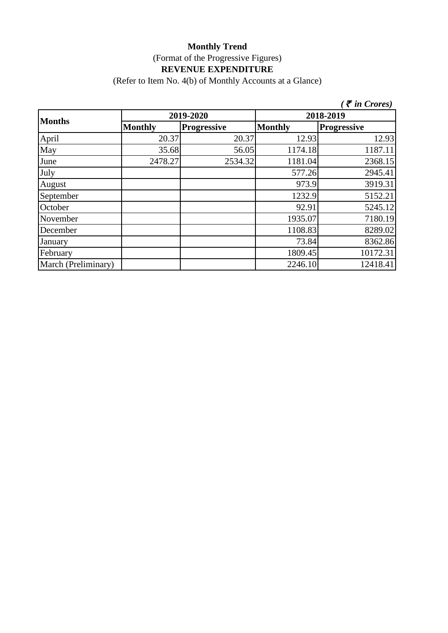(Refer to Item No. 4(b) of Monthly Accounts at a Glance)

|                     |                |                    |                | $\zeta$ $\bar{\zeta}$ in Crores) |
|---------------------|----------------|--------------------|----------------|----------------------------------|
| <b>Months</b>       | 2019-2020      |                    |                | 2018-2019                        |
|                     | <b>Monthly</b> | <b>Progressive</b> | <b>Monthly</b> | Progressive                      |
| April               | 20.37          | 20.37              | 12.93          | 12.93                            |
| May                 | 35.68          | 56.05              | 1174.18        | 1187.11                          |
| June                | 2478.27        | 2534.32            | 1181.04        | 2368.15                          |
| July                |                |                    | 577.26         | 2945.41                          |
| August              |                |                    | 973.9          | 3919.31                          |
| September           |                |                    | 1232.9         | 5152.21                          |
| October             |                |                    | 92.91          | 5245.12                          |
| November            |                |                    | 1935.07        | 7180.19                          |
| December            |                |                    | 1108.83        | 8289.02                          |
| January             |                |                    | 73.84          | 8362.86                          |
| February            |                |                    | 1809.45        | 10172.31                         |
| March (Preliminary) |                |                    | 2246.10        | 12418.41                         |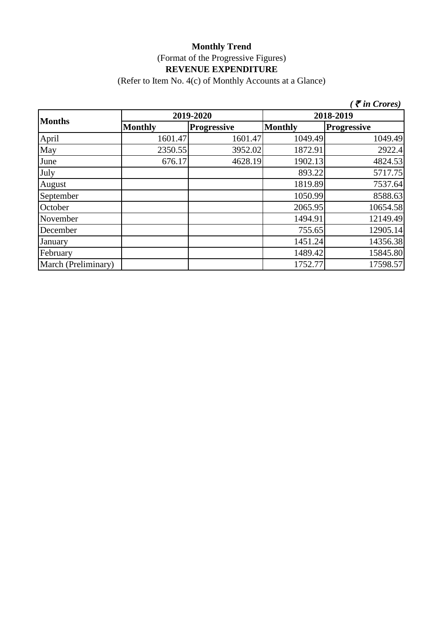(Refer to Item No. 4(c) of Monthly Accounts at a Glance)

|                     |                |                    |                | $\zeta$ $\bar{\zeta}$ in Crores) |  |
|---------------------|----------------|--------------------|----------------|----------------------------------|--|
|                     |                | 2019-2020          | 2018-2019      |                                  |  |
| <b>Months</b>       | <b>Monthly</b> | <b>Progressive</b> | <b>Monthly</b> | <b>Progressive</b>               |  |
| April               | 1601.47        | 1601.47            | 1049.49        | 1049.49                          |  |
| May                 | 2350.55        | 3952.02            | 1872.91        | 2922.4                           |  |
| June                | 676.17         | 4628.19            | 1902.13        | 4824.53                          |  |
| July                |                |                    | 893.22         | 5717.75                          |  |
| August              |                |                    | 1819.89        | 7537.64                          |  |
| September           |                |                    | 1050.99        | 8588.63                          |  |
| October             |                |                    | 2065.95        | 10654.58                         |  |
| November            |                |                    | 1494.91        | 12149.49                         |  |
| December            |                |                    | 755.65         | 12905.14                         |  |
| January             |                |                    | 1451.24        | 14356.38                         |  |
| February            |                |                    | 1489.42        | 15845.80                         |  |
| March (Preliminary) |                |                    | 1752.77        | 17598.57                         |  |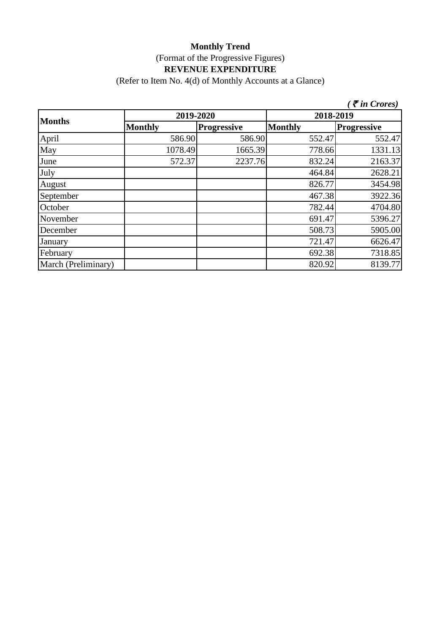(Refer to Item No. 4(d) of Monthly Accounts at a Glance)

|                     |                |                    |                | $\mathcal F$ in Crores) |  |
|---------------------|----------------|--------------------|----------------|-------------------------|--|
| <b>Months</b>       | 2019-2020      |                    | 2018-2019      |                         |  |
|                     | <b>Monthly</b> | <b>Progressive</b> | <b>Monthly</b> | <b>Progressive</b>      |  |
| April               | 586.90         | 586.90             | 552.47         | 552.47                  |  |
| May                 | 1078.49        | 1665.39            | 778.66         | 1331.13                 |  |
| June                | 572.37         | 2237.76            | 832.24         | 2163.37                 |  |
| July                |                |                    | 464.84         | 2628.21                 |  |
| August              |                |                    | 826.77         | 3454.98                 |  |
| September           |                |                    | 467.38         | 3922.36                 |  |
| October             |                |                    | 782.44         | 4704.80                 |  |
| November            |                |                    | 691.47         | 5396.27                 |  |
| December            |                |                    | 508.73         | 5905.00                 |  |
| January             |                |                    | 721.47         | 6626.47                 |  |
| February            |                |                    | 692.38         | 7318.85                 |  |
| March (Preliminary) |                |                    | 820.92         | 8139.77                 |  |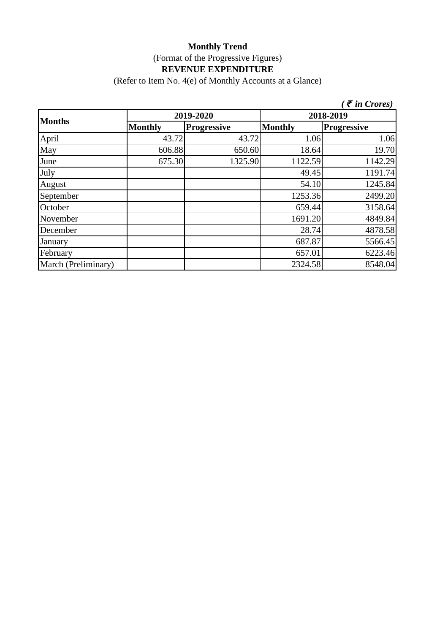(Refer to Item No. 4(e) of Monthly Accounts at a Glance)

|                     |                |                    |                | $\zeta$ <i>(† in Crores)</i> |
|---------------------|----------------|--------------------|----------------|------------------------------|
| <b>Months</b>       | 2019-2020      |                    | 2018-2019      |                              |
|                     | <b>Monthly</b> | <b>Progressive</b> | <b>Monthly</b> | <b>Progressive</b>           |
| April               | 43.72          | 43.72              | 1.06           | 1.06                         |
| May                 | 606.88         | 650.60             | 18.64          | 19.70                        |
| June                | 675.30         | 1325.90            | 1122.59        | 1142.29                      |
| July                |                |                    | 49.45          | 1191.74                      |
| August              |                |                    | 54.10          | 1245.84                      |
| September           |                |                    | 1253.36        | 2499.20                      |
| October             |                |                    | 659.44         | 3158.64                      |
| November            |                |                    | 1691.20        | 4849.84                      |
| December            |                |                    | 28.74          | 4878.58                      |
| January             |                |                    | 687.87         | 5566.45                      |
| February            |                |                    | 657.01         | 6223.46                      |
| March (Preliminary) |                |                    | 2324.58        | 8548.04                      |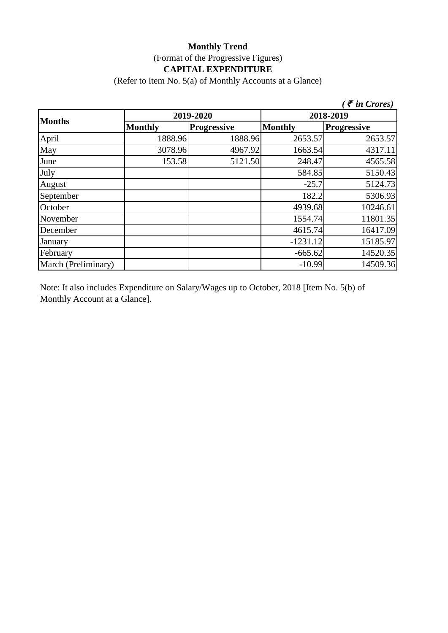# **Monthly Trend** (Format of the Progressive Figures) **CAPITAL EXPENDITURE**

(Refer to Item No. 5(a) of Monthly Accounts at a Glance)

|                     |                |                    |                | $\bar{\tau}$ in Crores) |
|---------------------|----------------|--------------------|----------------|-------------------------|
| <b>Months</b>       | 2019-2020      |                    | 2018-2019      |                         |
|                     | <b>Monthly</b> | <b>Progressive</b> | <b>Monthly</b> | <b>Progressive</b>      |
| April               | 1888.96        | 1888.96            | 2653.57        | 2653.57                 |
| May                 | 3078.96        | 4967.92            | 1663.54        | 4317.11                 |
| June                | 153.58         | 5121.50            | 248.47         | 4565.58                 |
| July                |                |                    | 584.85         | 5150.43                 |
| August              |                |                    | $-25.7$        | 5124.73                 |
| September           |                |                    | 182.2          | 5306.93                 |
| October             |                |                    | 4939.68        | 10246.61                |
| November            |                |                    | 1554.74        | 11801.35                |
| December            |                |                    | 4615.74        | 16417.09                |
| January             |                |                    | $-1231.12$     | 15185.97                |
| February            |                |                    | $-665.62$      | 14520.35                |
| March (Preliminary) |                |                    | $-10.99$       | 14509.36                |

Note: It also includes Expenditure on Salary/Wages up to October, 2018 [Item No. 5(b) of Monthly Account at a Glance].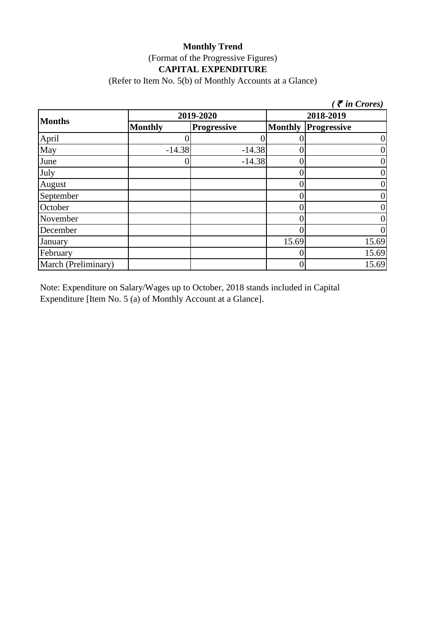## **Monthly Trend** (Format of the Progressive Figures) **CAPITAL EXPENDITURE**

(Refer to Item No. 5(b) of Monthly Accounts at a Glance)

|                     |                |                    |                | $\zeta$ $\bar{\zeta}$ in Crores) |
|---------------------|----------------|--------------------|----------------|----------------------------------|
| <b>Months</b>       |                | 2019-2020          | 2018-2019      |                                  |
|                     | <b>Monthly</b> | <b>Progressive</b> | <b>Monthly</b> | <b>Progressive</b>               |
| April               |                |                    |                | 0                                |
| May                 | $-14.38$       | $-14.38$           |                | 0                                |
| June                | U              | $-14.38$           |                | 0                                |
| July                |                |                    |                | 0                                |
| August              |                |                    |                | 0                                |
| September           |                |                    |                | 0                                |
| October             |                |                    |                | 0                                |
| November            |                |                    |                | 0                                |
| December            |                |                    |                |                                  |
| January             |                |                    | 15.69          | 15.69                            |
| February            |                |                    |                | 15.69                            |
| March (Preliminary) |                |                    |                | 15.69                            |

Note: Expenditure on Salary/Wages up to October, 2018 stands included in Capital Expenditure [Item No. 5 (a) of Monthly Account at a Glance].